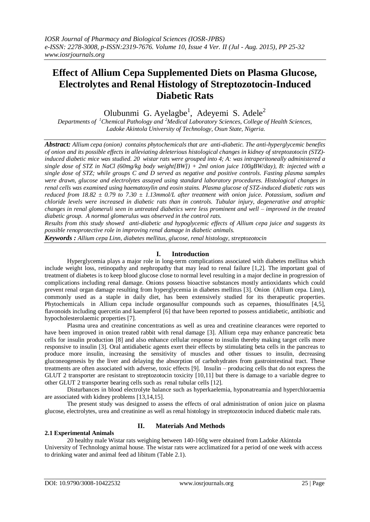# **Effect of Allium Cepa Supplemented Diets on Plasma Glucose, Electrolytes and Renal Histology of Streptozotocin-Induced Diabetic Rats**

Olubunmi G. Ayelagbe<sup>1</sup>, Adeyemi S. Adele<sup>2</sup>

*Departments of <sup>1</sup>Chemical Pathology and<sup>2</sup>Medical Laboratory Sciences, College of Health Sciences, Ladoke Akintola University of Technology, Osun State, Nigeria.*

*Abstract: Allium cepa (onion) contains phytochemicals that are anti-diabetic. The anti-hyperglycemic benefits of onion and its possible effects in alleviating deleterious histological changes in kidney of streptozotocin (STZ) induced diabetic mice was studied. 20 wistar rats were grouped into 4; A: was intraperitoneally administered a single dose of STZ in NaCl (60mg/kg body weight[BW]) + 2ml onion juice 100gBW/day), B: injected with a single dose of STZ; while groups C and D served as negative and positive controls. Fasting plasma samples were drawn, glucose and electrolytes assayed using standard laboratory procedures. Histological changes in renal cells was examined using haematoxylin and eosin stains. Plasma glucose of STZ-induced diabetic rats was reduced from 18.82 ± 0.79 to 7.30 ± 1.13mmol/L after treatment with onion juice. Potassium, sodium and chloride levels were increased in diabetic rats than in controls. Tubular injury, degenerative and atrophic changes in renal glomeruli seen in untreated diabetics were less prominent and well – improved in the treated diabetic group. A normal glomerulus was observed in the control rats.* 

*Results from this study showed anti-diabetic and hypoglycemic effects of Allium cepa juice and suggests its possible renoprotective role in improving renal damage in diabetic animals.* 

*Keywords : Allium cepa Linn, diabetes mellitus, glucose, renal histology, streptozotocin*

# **I. Introduction**

Hyperglycemia plays a major role in long-term complications associated with diabetes mellitus which include weight loss, retinopathy and nephropathy that may lead to renal failure [1,2]. The important goal of treatment of diabetes is to keep blood glucose close to normal level resulting in a major decline in progression of complications including renal damage. Onions possess bioactive substances mostly antioxidants which could prevent renal organ damage resulting from hyperglycemia in diabetes mellitus [3]. Onion (Allium cepa. Linn), commonly used as a staple in daily diet, has been extensively studied for its therapeutic properties. Phytochemicals in Allium cepa include organosulfur compounds such as cepaenes, thiosulfinates [4,5], flavonoids including quercetin and kaempferol [6] that have been reported to possess antidiabetic, antibiotic and hypocholesterolaemic properties [7].

Plasma urea and creatinine concentrations as well as urea and creatinine clearances were reported to have been improved in onion treated rabbit with renal damage [3]. Allium cepa may enhance pancreatic beta cells for insulin production [8] and also enhance cellular response to insulin thereby making target cells more responsive to insulin [3]. Oral antidiabetic agents exert their effects by stimulating beta cells in the pancreas to produce more insulin, increasing the sensitivity of muscles and other tissues to insulin, decreasing gluconeogenesis by the liver and delaying the absorption of carbohydrates from gastrointestinal tract. These treatments are often associated with adverse, toxic effects [9]. Insulin – producing cells that do not express the GLUT 2 transporter are resistant to streptozotocin toxicity [10,11] but there is damage to a variable degree to other GLUT 2 transporter bearing cells such as renal tubular cells [12].

Disturbances in blood electrolyte balance such as hyperkaelemia, hyponatreamia and hyperchloraemia are associated with kidney problems [13,14,15].

The present study was designed to assess the effects of oral administration of onion juice on plasma glucose, electrolytes, urea and creatinine as well as renal histology in streptozotocin induced diabetic male rats.

# **2.1 Experimental Animals**

# **II. Materials And Methods**

20 healthy male Wistar rats weighing between 140-160g were obtained from Ladoke Akintola University of Technology animal house. The wistar rats were acclimatized for a period of one week with access to drinking water and animal feed ad libitum (Table 2.1).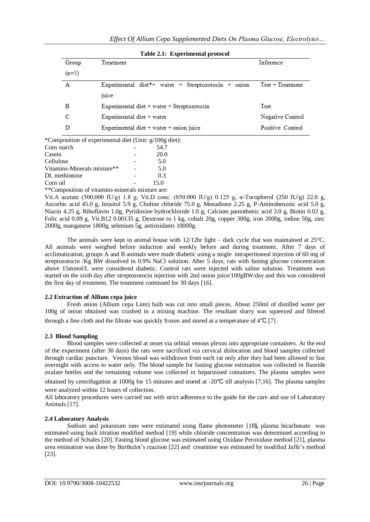| Group   | Treatment                                          | Inference          |  |  |
|---------|----------------------------------------------------|--------------------|--|--|
| $(n=5)$ |                                                    |                    |  |  |
| Α       | Experimental diet*+ water + Streptozotocin + onion | $Test + Treatment$ |  |  |
|         | juice                                              |                    |  |  |
| в       | Experimental diet + water + Streptozotocin         | <b>Test</b>        |  |  |
| с       | Experimental diet + water                          | Negative Control   |  |  |
| D       | Experimental diet + water + onion juice            | Positive Control   |  |  |

\*Composition of experimental Corn starch 54.7 Casein **-** 20.0 Cellulose - 5.0 Vitamins-Minerals mixture\*\*  $-$  5.0 DL methionine  $\qquad \qquad$  - 0.3 Corn oil **compared 15.0** 

\*\*Composition of vitamins-minerals mixture are:

Vit.A acetate (500,000 IU/g) 1.8 g, Vit.D conc. (850.000 IU/g) 0.125 g, α-Tocopherol (250 IU/g) 22.0 g, Ascorbic acid 45.0 g, Inositol 5.9 g, Choline chloride 75.0 g, Menadione 2.25 g, P-Aminobenzoic acid 5.0 g, Niacin 4.25 g, Riboflavin 1.0g, Pyridoxine hydrochloride 1.0 g, Calcium pantothenic acid 3.0 g, Biotin 0.02 g, Folic acid 0.09 g, Vit.B12 0.00135 g, Dextrose to 1 kg, cobalt 20g, copper 300g, iron 2000g, iodine 50g, zinc 2000g, manganese 1800g, selenium 5g, antioxidants 10000g.

The animals were kept in animal house with 12/12hr light – dark cycle that was maintained at 25°C. All animals were weighed before induction and weekly before and during treatment. After 7 days of acclimatization, groups A and B animals were made diabetic using a single intraperitoneal injection of 60 mg of streptozotocin /Kg BW dissolved in 0.9% NaCl solution. After 5 days, rats with fasting glucose concentration above 15mmol/L were considered diabetic. Control rats were injected with saline solution. Treatment was started on the sixth day after streptozotocin injection with 2ml onion juice/100gBW/day and this was considered the first day of treatment. The treatment continued for 30 days [16].

# **2.2 Extraction of Allium cepa juice**

Fresh onion (Allium cepa Linn) bulb was cut into small pieces. About 250ml of distilled water per 100g of onion obtained was crushed in a mixing machine. The resultant slurry was squeezed and filtered through a fine cloth and the filtrate was quickly frozen and stored at a temperature of 4℃ [7].

# **2.3 Blood Sampling**

Blood samples were collected at onset via orbital venous plexus into appropriate containers. At the end of the experiment (after 30 days) the rats were sacrificed via cervical dislocation and blood samples collected through cardiac puncture. Venous blood was withdrawn from each rat only after they had been allowed to fast overnight with access to water only. The blood sample for fasting glucose estimation was collected in fluoride oxalate bottles and the remaining volume was collected in heparinised containers. The plasma samples were obtained by centrifugation at 1000g for 15 minutes and stored at -20℃ till analysis [7,16]. The plasma samples were analyzed within 12 hours of collection.

All laboratory procedures were carried out with strict adherence to the guide for the care and use of Laboratory Animals [17].

# **2.4 Laboratory Analysis**

Sodium and potassium ions were estimated using flame photometer [18**],** plasma bicarbonate was estimated using back titration modified method [19] while chloride concentration was determined according to the method of Schales [20]. Fasting blood glucose was estimated using Oxidase Peroxidase method [21], plasma urea estimation was done by Berthelot's reaction [22] and creatinine was estimated by modified Jaffe's method [23].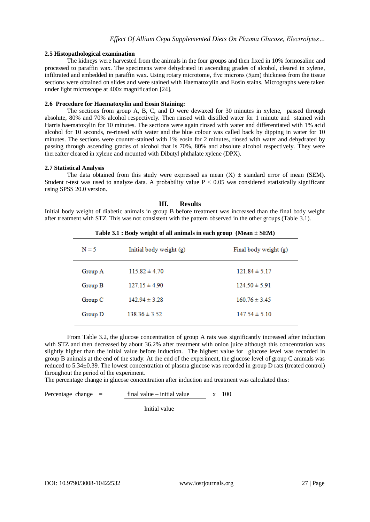## **2.5 Histopathological examination**

The kidneys were harvested from the animals in the four groups and then fixed in 10% formosaline and processed to paraffin wax. The specimens were dehydrated in ascending grades of alcohol, cleared in xylene, infiltrated and embedded in paraffin wax. Using rotary microtome, five microns (5μm) thickness from the tissue sections were obtained on slides and were stained with Haematoxylin and Eosin stains. Micrographs were taken under light microscope at 400x magnification [24].

## **2.6 Procedure for Haematoxylin and Eosin Staining:**

The sections from group A, B, C, and D were dewaxed for 30 minutes in xylene, passed through absolute, 80% and 70% alcohol respectively. Then rinsed with distilled water for 1 minute and stained with Harris haematoxylin for 10 minutes. The sections were again rinsed with water and differentiated with 1% acid alcohol for 10 seconds, re-rinsed with water and the blue colour was called back by dipping in water for 10 minutes. The sections were counter-stained with 1% eosin for 2 minutes, rinsed with water and dehydrated by passing through ascending grades of alcohol that is 70%, 80% and absolute alcohol respectively. They were thereafter cleared in xylene and mounted with Dibutyl phthalate xylene (DPX).

### **2.7 Statistical Analysis**

The data obtained from this study were expressed as mean  $(X) \pm$  standard error of mean (SEM). Student t-test was used to analyze data. A probability value  $P < 0.05$  was considered statistically significant using SPSS 20.0 version.

## **III. Results**

Initial body weight of diabetic animals in group B before treatment was increased than the final body weight after treatment with STZ. This was not consistent with the pattern observed in the other groups (Table 3.1).

| Table 3.1 : Body weight of all animals in each group (Mean $\pm$ SEM) |                         |                       |  |  |  |
|-----------------------------------------------------------------------|-------------------------|-----------------------|--|--|--|
| $N = 5$                                                               | Initial body weight (g) | Final body weight (g) |  |  |  |
| Group A                                                               | $115.82 \pm 4.70$       | $121.84 \pm 5.17$     |  |  |  |
| Group B                                                               | $127.15 \pm 4.90$       | $124.50 \pm 5.91$     |  |  |  |
| Group C                                                               | $142.94 \pm 3.28$       | $160.76 \pm 3.45$     |  |  |  |
| Group D                                                               | $138.36 \pm 3.52$       | $147.54 \pm 5.10$     |  |  |  |
|                                                                       |                         |                       |  |  |  |

**Table 3.1 : Body weight of all animals in each group (Mean ± SEM)**

From Table 3.2, the glucose concentration of group A rats was significantly increased after induction with STZ and then decreased by about 36.2% after treatment with onion juice although this concentration was slightly higher than the initial value before induction. The highest value for glucose level was recorded in group B animals at the end of the study. At the end of the experiment, the glucose level of group C animals was reduced to 5.34±0.39. The lowest concentration of plasma glucose was recorded in group D rats (treated control) throughout the period of the experiment.

The percentage change in glucose concentration after induction and treatment was calculated thus:

Percentage change = 
$$
\frac{\text{final value} - \text{initial value}}{x}
$$
 x 100

Initial value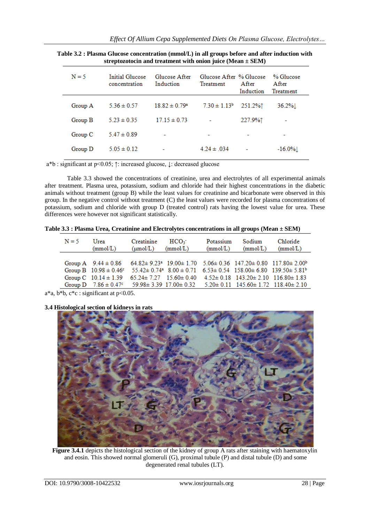|  |  |  |  |  |  |  | Effect Of Allium Cepa Supplemented Diets On Plasma Glucose, Electrolytes |
|--|--|--|--|--|--|--|--------------------------------------------------------------------------|
|--|--|--|--|--|--|--|--------------------------------------------------------------------------|

| $N = 5$ | Initial Glucose<br>concentration | Glucose After<br>Induction    | Glucose After % Glucose<br>Treatment | After<br>Induction | % Glucose<br>After<br>Treatment |
|---------|----------------------------------|-------------------------------|--------------------------------------|--------------------|---------------------------------|
| Group A | $5.36 \pm 0.57$                  | $18.82 \pm 0.79$ <sup>a</sup> | $7.30 \pm 1.13^b$                    | 251.2%1            | $36.2\%$                        |
| Group B | $5.23 \pm 0.35$                  | $17.15 \pm 0.73$              |                                      | 227.9%1            |                                 |
| Group C | $5.47 \pm 0.89$                  |                               | ٠                                    |                    |                                 |
| Group D | $5.05 \pm 0.12$                  |                               | $4.24 \pm .034$                      |                    | $-16.0\%$                       |
|         |                                  |                               |                                      |                    |                                 |

**Table 3.2 : Plasma Glucose concentration (mmol/L) in all groups before and after induction with streptozotocin and treatment with onion juice (Mean ± SEM)**

a\*b : significant at p<0.05; ↑: increased glucose, ↓: decreased glucose

Table 3.3 showed the concentrations of creatinine, urea and electrolytes of all experimental animals after treatment. Plasma urea, potassium, sodium and chloride had their highest concentrations in the diabetic animals without treatment (group B) while the least values for creatinine and bicarbonate were observed in this group. In the negative control without treatment (C) the least values were recorded for plasma concentrations of potassium, sodium and chloride with group D (treated control) rats having the lowest value for urea. These differences were however not significant statistically.

**Table 3.3 : Plasma Urea, Creatinine and Electrolytes concentrations in all groups (Mean ± SEM)**

|                                                                                                                                         | (mmol/L) | Creatinine<br>$(\mu \text{mol/L})$ | HCO <sub>3</sub><br>(mmol/L)                                                                                                                         | Potassium<br>(mmol/L) | Sodium<br>(mmol/L) | Chloride<br>(mmol/L) |
|-----------------------------------------------------------------------------------------------------------------------------------------|----------|------------------------------------|------------------------------------------------------------------------------------------------------------------------------------------------------|-----------------------|--------------------|----------------------|
|                                                                                                                                         |          |                                    |                                                                                                                                                      |                       |                    |                      |
| Group A $9.44 \pm 0.86$ $64.82 \pm 9.23$ <sup>a</sup> $19.00 \pm 1.70$ $5.06 \pm 0.36$ $147.20 \pm 0.80$ $117.80 \pm 2.00$ <sup>b</sup> |          |                                    |                                                                                                                                                      |                       |                    |                      |
|                                                                                                                                         |          |                                    | Group B $10.98 \pm 0.46$ <sup>c</sup> $55.42 \pm 0.74$ <sup>a</sup> $8.00 \pm 0.71$ $6.53 \pm 0.54$ $158.00 \pm 6.80$ $139.50 \pm 5.81$ <sup>b</sup> |                       |                    |                      |
| Group C $10.14 \pm 1.39$                                                                                                                |          |                                    | $65.24 \pm 7.27$ $15.60 \pm 0.40$ $4.52 \pm 0.18$ $143.20 \pm 2.10$ $116.80 \pm 1.83$                                                                |                       |                    |                      |
| Group D $7.86 \pm 0.47$ $59.98 \pm 3.39$ 17.00 $\pm 0.32$ $5.20 \pm 0.11$ 145.60 $\pm 1.72$ 118.40 $\pm 2.10$                           |          |                                    |                                                                                                                                                      |                       |                    |                      |

 $a^*a$ ,  $b^*b$ ,  $c^*c$  : significant at  $p<0.05$ .

# **3.4 Histological section of kidneys in rats**



**Figure 3.4.1** depicts the histological section of the kidney of group A rats after staining with haematoxylin and eosin. This showed normal glomeruli (G), proximal tubule (P) and distal tubule (D) and some degenerated renal tubules (LT).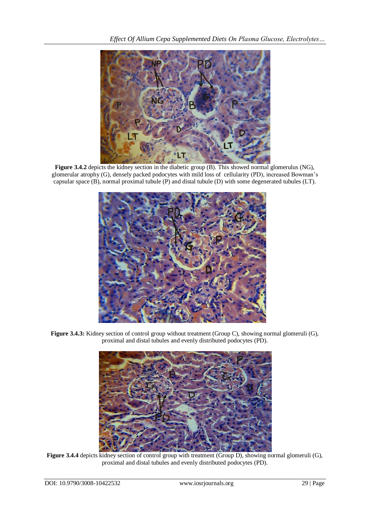

**Figure 3.4.2** depicts the kidney section in the diabetic group (B). This showed normal glomerulus (NG), glomerular atrophy (G), densely packed podocytes with mild loss of cellularity (PD), increased Bowman's capsular space (B), normal proximal tubule (P) and distal tubule (D) with some degenerated tubules (LT).



**Figure 3.4.3:** Kidney section of control group without treatment (Group C), showing normal glomeruli (G), proximal and distal tubules and evenly distributed podocytes (PD).



**Figure 3.4.4** depicts kidney section of control group with treatment (Group D), showing normal glomeruli (G), proximal and distal tubules and evenly distributed podocytes (PD).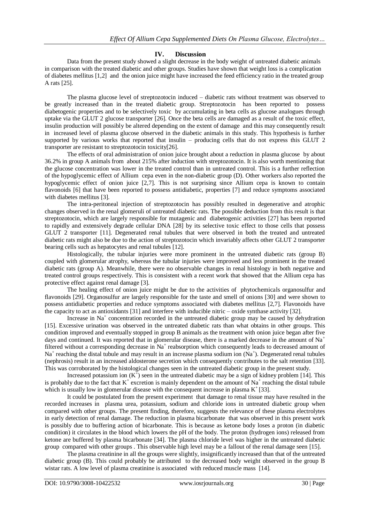### **IV. Discussion**

Data from the present study showed a slight decrease in the body weight of untreated diabetic animals in comparison with the treated diabetic and other groups. Studies have shown that weight loss is a complication of diabetes mellitus [1,2] and the onion juice might have increased the feed efficiency ratio in the treated group A rats [25].

The plasma glucose level of streptozotocin induced – diabetic rats without treatment was observed to be greatly increased than in the treated diabetic group. Streptozotocin has been reported to possess diabetogenic properties and to be selectively toxic by accumulating in beta cells as glucose analogues through uptake via the GLUT 2 glucose transporter [26]. Once the beta cells are damaged as a result of the toxic effect, insulin production will possibly be altered depending on the extent of damage and this may consequently result in increased level of plasma glucose observed in the diabetic animals in this study. This hypothesis is further supported by various works that reported that insulin – producing cells that do not express this GLUT 2 transporter are resistant to streptozotocin toxicity[26].

The effects of oral administration of onion juice brought about a reduction in plasma glucose by about 36.2% in group A animals from about 215% after induction with streptozotocin. It is also worth mentioning that the glucose concentration was lower in the treated control than in untreated control. This is a further reflection of the hypoglycemic effect of Allium cepa even in the non-diabetic group (D). Other workers also reported the hypoglycemic effect of onion juice [2,7]. This is not surprising since Allium cepa is known to contain flavonoids [6] that have been reported to possess antidiabetic, properties [7] and reduce symptoms associated with diabetes mellitus [3].

The intra-peritoneal injection of streptozotocin has possibly resulted in degenerative and atrophic changes observed in the renal glomeruli of untreated diabetic rats. The possible deduction from this result is that streptozotocin, which are largely responsible for mutagenic and diabetogenic activities [27] has been reported to rapidly and extensively degrade cellular DNA [28] by its selective toxic effect to those cells that possess GLUT 2 transporter [11]. Degenerated renal tubules that were observed in both the treated and untreated diabetic rats might also be due to the action of streptozotocin which invariably affects other GLUT 2 transporter bearing cells such as hepatocytes and renal tubules [12].

Histologically, the tubular injuries were more prominent in the untreated diabetic rats (group B) coupled with glomerular atrophy, whereas the tubular injuries were improved and less prominent in the treated diabetic rats (group A). Meanwhile, there were no observable changes in renal histology in both negative and treated control groups respectively. This is consistent with a recent work that showed that the Allium cepa has protective effect against renal damage [3].

The healing effect of onion juice might be due to the activities of phytochemicals organosulfur and flavonoids [29]. Organosulfur are largely responsible for the taste and smell of onions [30] and were shown to possess antidiabetic properties and reduce symptoms associated with diabetes mellitus [2,7]. Flavonoids have the capacity to act as antioxidants [31] and interfere with inducible nitric – oxide synthase activity [32].

Increase in  $Na<sup>+</sup>$  concentration recorded in the untreated diabetic group may be caused by dehydration [15]. Excessive urination was observed in the untreated diabetic rats than what obtains in other groups. This condition improved and eventually stopped in group B animals as the treatment with onion juice began after five days and continued. It was reported that in glomerular disease, there is a marked decrease in the amount of Na<sup>+</sup> filtered without a corresponding decrease in  $Na<sup>+</sup>$  reabsorption which consequently leads to decreased amount of Na<sup>+</sup> reaching the distal tubule and may result in an increase plasma sodium ion (Na<sup>+</sup>). Degenerated renal tubules (nephrosis) result in an increased aldosterone secretion which consequently contributes to the salt retention [33]. This was corroborated by the histological changes seen in the untreated diabetic group in the present study.

Increased potassium ion  $(K^+)$  seen in the untreated diabetic may be a sign of kidney problem [14]. This is probably due to the fact that  $K^+$  excretion is mainly dependent on the amount of  $Na^+$  reaching the distal tubule which is usually low in glomerular disease with the consequent increase in plasma  $K^+$  [33].

It could be postulated from the present experiment that damage to renal tissue may have resulted in the recorded increases in plasma urea, potassium, sodium and chloride ions in untreated diabetic group when compared with other groups. The present finding, therefore, suggests the relevance of these plasma electrolytes in early detection of renal damage. The reduction in plasma bicarbonate that was observed in this present work is possibly due to buffering action of bicarbonate. This is because as ketone body loses a proton (in diabetic condition) it circulates in the blood which lowers the pH of the body. The proton (hydrogen ions) released from ketone are buffered by plasma bicarbonate [34]. The plasma chloride level was higher in the untreated diabetic group compared with other groups . This observable high level may be a fallout of the renal damage seen [15].

The plasma creatinine in all the groups were slightly, insignificantly increased than that of the untreated diabetic group (B). This could probably be attributed to the decreased body weight observed in the group B wistar rats. A low level of plasma creatinine is associated with reduced muscle mass [14].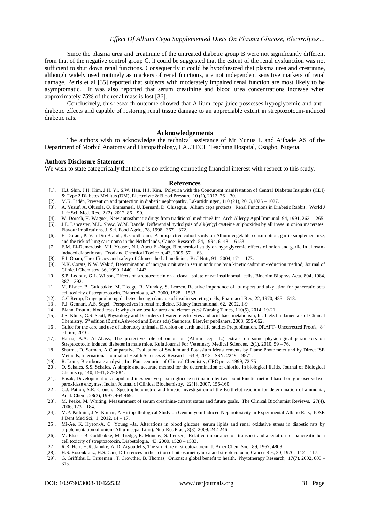Since the plasma urea and creatinine of the untreated diabetic group B were not significantly different from that of the negative control group C, it could be suggested that the extent of the renal dysfunction was not sufficient to shut down renal functions. Consequently it could be hypothesized that plasma urea and creatinine, although widely used routinely as markers of renal functions, are not independent sensitive markers of renal damage. Peiris et al [35] reported that subjects with moderately impaired renal function are most likely to be asymptomatic. It was also reported that serum creatinine and blood urea concentrations increase when approximately 75% of the renal mass is lost [36].

Conclusively, this research outcome showed that Allium cepa juice possesses hypoglycemic and antidiabetic effects and capable of restoring renal tissue damage to an appreciable extent in streptozotocin-induced diabetic rats.

#### **Acknowledgements**

The authors wish to acknowledge the technical assistance of Mr Yunus L and Ajibade AS of the Department of Morbid Anatomy and Histopathology, LAUTECH Teaching Hospital, Osogbo, Nigeria.

#### **Authors Disclosure Statement**

We wish to state categorically that there is no existing competing financial interest with respect to this study.

#### **References**

- [1]. H.J. Shin, J.H. Kim, J.H. Yi, S.W. Han, H.J. Kim, Polyuria with the Concurrent manifestation of Central Diabetes Insipidus (CDI) & Type 2 Diabetes Mellitus (DM), Electrolyte & Blood Pressure, 10 (1)**,** 2012, 26 – 30.
- [2]. M.K. Lidén, Prevention and protection in diabetic nephropathy, Lakartidningen, 110 (21), 2013,1025 1027.
- [3]. A. Yusuf, A. Olusola, O. Emmanuel, U. Bernard, D. Olusegun, Allium cepa protects Renal Functions in Diabetic Rabbit, World J Life Sci. Med. Res., 2 (2), 2012, 86 – 90.
- [4]. W. Dorsch, H. Wagner, New antiasthmatic drugs from traditional medicine? Int Arch Allergy Appl Immunol, 94, 1991, 262 265.
- [5]. J.E. Lancaster, M.L. Shaw, W.M. Randle, Differential hydrolysis of alk(en)yl cysteine sulphoxides by alliinase in onion macerates: Flavour implications, J. Sci. Food Agric., 78, 1998, 367 – 372.
- [6]. E. Dorant, P. Van Din Brandt, R. Goldbohm, A prospective cohort study on Allium vegetable consumption, garlic supplement use, and the risk of lung carcinoma in the Netherlands, Cancer Research, 54, 1994, 6148 – 6153.
- [7]. F.M. El-Demerdash, M.I. Yousef, N.I. Abou El-Naga, Biochemical study on hypoglycemic effects of onion and garlic in alloxaninduced diabetic rats, Food and Chemical Toxicolo, 43, 2005, 57 – 63.
- [8]. E.I. Opara, The efficacy and safety of Chinese herbal medicine, Br J Nutr, 91, 2004, 171 173.
- [9]. N.K. Corats, N.W. Wakid, Determination of inorganic nitrate in serum andurine by a kinetic cadmium-reduction method, Journal of Clinical Chemistry, 36, 1990, 1440 – 1443.
- [10]. S.P. Ledoux, G.L. Wilson, Effects of streptozotocin on a clonal isolate of rat insulinomal cells, Biochim Biophys Acta, 804, 1984, 387 – 392.
- [11]. M. Elsner, B. Guldbakke, M. Tiedge, R. Munday, S. Lenzen, Relative importance of transport and alkylation for pancreatic beta cell toxicity of streptozotocin, Diabetologia, 43, 2000, 1528 – 1533.
- [12]. C.C Rerup, Drugs producing diabetes through damage of insulin secreting cells, Pharmacol Rev, 22, 1970, 485 518.
- [13]. F.J. Gennari, A.S. Segel, Perspectives in renal medicine, Kidney International, 62, 2002, 1-9
- [14]. Blann, Routine blood tests 1: why do we test for urea and electrolytes? Nursing Times, 110(5), 2014, 19-21.
- [15]. J.S. Klutts, G.S. Scott, Physiology and Disorders of water, electrolytes and acid-base metabolism, In: Tietz fundamentals of Clinical Chemistry, 6<sup>th</sup> edition (Burtis,Ashwood and Bruns eds) Saunders, Elsevier publishers. 2008; 655-662.
- [16]. Guide for the care and use of laboratory animals. Division on earth and life studies Prepublication. DRAFT- Uncorrected Proofs,  $8<sup>th</sup>$ edition, 2010.
- [17]. Hanaa, A.A. Al-Abass, The protective role of onion oil (Allium cepa L.) extract on some physiological parameters on Streptozotocin induced diabetes in male mice, Kufa Journal For Veterinary Medical Sciences, 2(1), 2010, 59 – 76.
- [18]. Sharma, D. Sarmah, A Comparative Evaluation of Sodium and Potassium Measurements by Flame Photometer and by Direct ISE Methods, International Journal of Health Sciences & Research, 63:3, 2013, ISSN: 2249 – 9571.
- [19]. R. Louis, Bicarbonate analysis, In : Four centuries of Clinical Chemistry, CRC press, 1999, 72-75
- [20]. O. Schales, S.S. Schales, A simple and accurate method for the determination of chloride in biological fluids, Journal of Biological Chemistry, 140, 1941, 879-884.
- [21]. Basak, Development of a rapid and inexpensive plasma glucose estimation by two-point kinetic method based on glucoseoxidaseperoxidase enzymes, Indian Journal of Clinical Biochemistry, 22(1), 2007, 156-160.
- [22]. C.J. Patton, S.R. Crouch, Spectrophotometric and kinetic investigation of the Berthelot reaction for determination of ammonia, Anal. Chem., 28(3), 1997, 464-469.
- [23]. M. Peake, M. Whiting, Measurement of serum creatinine-current status and future goals, The Clinical Biochemist Reviews, 27(4), 2006, 173 – 184.
- [24]. M.P. Padmini, J.V. Kumar, A Histopathological Study on Gentamycin Induced Nephrotoxicity in Experimental Albino Rats, IOSR J Dent Med Sci, 1, 2012, 14 – 17.
- [25]. Mi-Ae, K. Hyeon-A, C. Young –Ja, Alterations in blood glucose, serum lipids and renal oxidative stress in diabetic rats by supplementation of onion (Allium cepa. Linn), Nutr Res Pract, 3(3), 2009, 242-246.
- [26]. M. Elsner, B. Guldbakke, M. Tiedge, R. Munday, S. Lenzen, Relative importance of transport and alkylation for pancreatic beta cell toxicity of streptozotocin, Diabetologia, 43, 2000, 1528 – 1533.
- [27]. R.R. Herr, H.K. Jahnke, A. D. Argoudelis, The structure of streptozotocin, J. Amer Chem Soc, 89, 1967, 4808.
- [28]. H.S. Rosenkranz, H.S. Carr, Differences in the action of nitrosomethylurea and streptozotocin, Cancer Res, 30, 1970, 112 117.
- [29]. G. Griffiths, L. Trrueman , T. Crowther, B. Thomas, Onions: a global benefit to health, Phytotherapy Research, 17(7), 2002, 603 615.